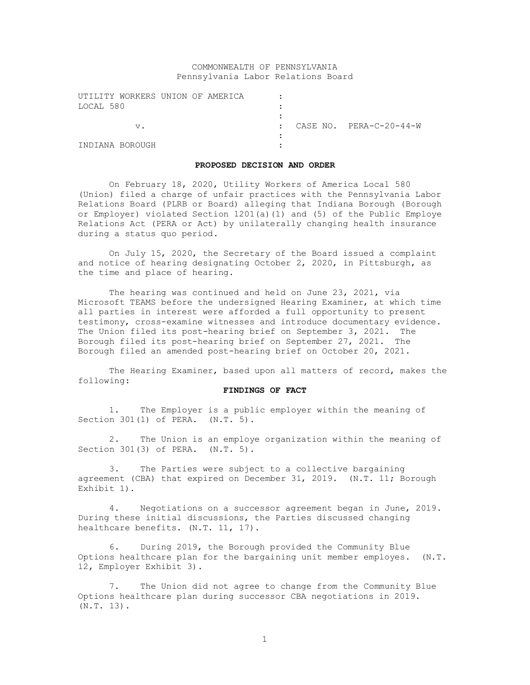# COMMONWEALTH OF PENNSYLVANIA Pennsylvania Labor Relations Board

| UTILITY WORKERS UNION OF AMERICA |  |                         |
|----------------------------------|--|-------------------------|
| LOCAL 580                        |  |                         |
|                                  |  |                         |
| $V$ .                            |  | CASE NO. PERA-C-20-44-W |
|                                  |  |                         |
| INDIANA BOROUGH                  |  |                         |

#### **PROPOSED DECISION AND ORDER**

On February 18, 2020, Utility Workers of America Local 580 (Union) filed a charge of unfair practices with the Pennsylvania Labor Relations Board (PLRB or Board) alleging that Indiana Borough (Borough or Employer) violated Section 1201(a)(1) and (5) of the Public Employe Relations Act (PERA or Act) by unilaterally changing health insurance during a status quo period.

On July 15, 2020, the Secretary of the Board issued a complaint and notice of hearing designating October 2, 2020, in Pittsburgh, as the time and place of hearing.

The hearing was continued and held on June 23, 2021, via Microsoft TEAMS before the undersigned Hearing Examiner, at which time all parties in interest were afforded a full opportunity to present testimony, cross-examine witnesses and introduce documentary evidence. The Union filed its post-hearing brief on September 3, 2021. The Borough filed its post-hearing brief on September 27, 2021. The Borough filed an amended post-hearing brief on October 20, 2021.

The Hearing Examiner, based upon all matters of record, makes the following:

## **FINDINGS OF FACT**

1. The Employer is a public employer within the meaning of Section 301(1) of PERA. (N.T. 5).

2. The Union is an employe organization within the meaning of Section 301(3) of PERA. (N.T. 5).

3. The Parties were subject to a collective bargaining agreement (CBA) that expired on December 31, 2019. (N.T. 11; Borough Exhibit 1).

4. Negotiations on a successor agreement began in June, 2019. During these initial discussions, the Parties discussed changing healthcare benefits. (N.T. 11, 17).

6. During 2019, the Borough provided the Community Blue Options healthcare plan for the bargaining unit member employes. (N.T. 12, Employer Exhibit 3).

7. The Union did not agree to change from the Community Blue Options healthcare plan during successor CBA negotiations in 2019. (N.T. 13).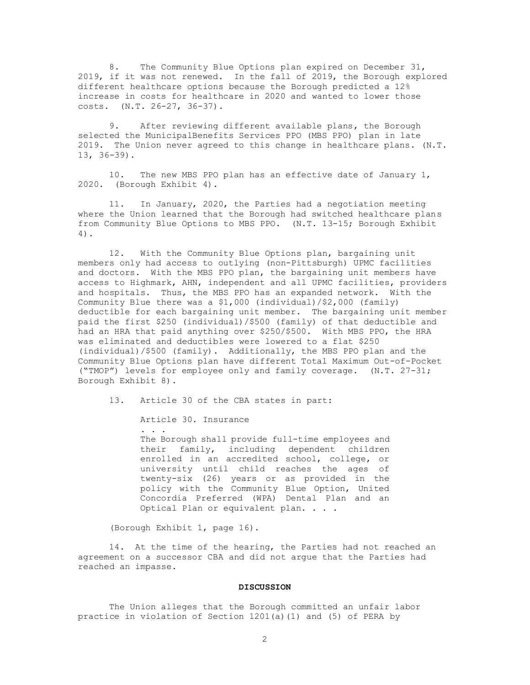8. The Community Blue Options plan expired on December 31, 2019, if it was not renewed. In the fall of 2019, the Borough explored different healthcare options because the Borough predicted a 12% increase in costs for healthcare in 2020 and wanted to lower those costs. (N.T. 26-27, 36-37).

9. After reviewing different available plans, the Borough selected the MunicipalBenefits Services PPO (MBS PPO) plan in late 2019. The Union never agreed to this change in healthcare plans. (N.T. 13, 36-39).

10. The new MBS PPO plan has an effective date of January 1, 2020. (Borough Exhibit 4).

11. In January, 2020, the Parties had a negotiation meeting where the Union learned that the Borough had switched healthcare plans from Community Blue Options to MBS PPO. (N.T. 13-15; Borough Exhibit 4).

12. With the Community Blue Options plan, bargaining unit members only had access to outlying (non-Pittsburgh) UPMC facilities and doctors. With the MBS PPO plan, the bargaining unit members have access to Highmark, AHN, independent and all UPMC facilities, providers and hospitals. Thus, the MBS PPO has an expanded network. With the Community Blue there was a \$1,000 (individual)/\$2,000 (family) deductible for each bargaining unit member. The bargaining unit member paid the first \$250 (individual)/\$500 (family) of that deductible and had an HRA that paid anything over \$250/\$500. With MBS PPO, the HRA was eliminated and deductibles were lowered to a flat \$250 (individual)/\$500 (family). Additionally, the MBS PPO plan and the Community Blue Options plan have different Total Maximum Out-of-Pocket ("TMOP") levels for employee only and family coverage. (N.T. 27-31; Borough Exhibit 8).

13. Article 30 of the CBA states in part:

Article 30. Insurance

. . .

The Borough shall provide full-time employees and their family, including dependent children enrolled in an accredited school, college, or university until child reaches the ages of twenty-six (26) years or as provided in the policy with the Community Blue Option, United Concordia Preferred (WPA) Dental Plan and an Optical Plan or equivalent plan. . . .

(Borough Exhibit 1, page 16).

14. At the time of the hearing, the Parties had not reached an agreement on a successor CBA and did not argue that the Parties had reached an impasse.

#### **DISCUSSION**

The Union alleges that the Borough committed an unfair labor practice in violation of Section 1201(a)(1) and (5) of PERA by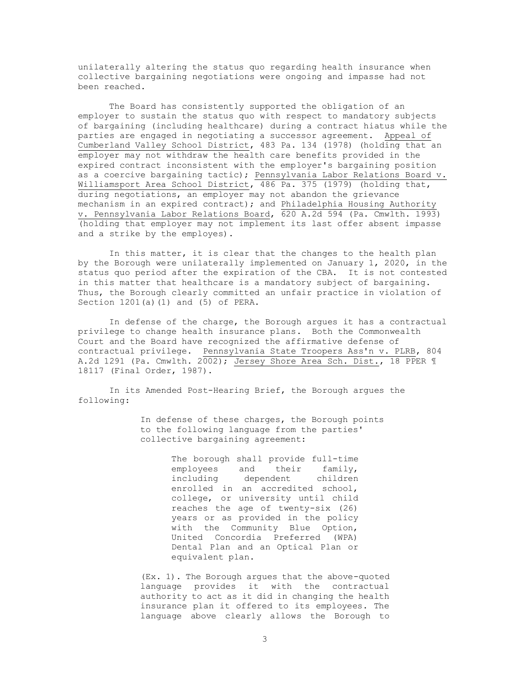unilaterally altering the status quo regarding health insurance when collective bargaining negotiations were ongoing and impasse had not been reached.

The Board has consistently supported the obligation of an employer to sustain the status quo with respect to mandatory subjects of bargaining (including healthcare) during a contract hiatus while the parties are engaged in negotiating a successor agreement. Appeal of Cumberland Valley School District, 483 Pa. 134 (1978) (holding that an employer may not withdraw the health care benefits provided in the expired contract inconsistent with the employer's bargaining position as a coercive bargaining tactic); Pennsylvania Labor Relations Board v. Williamsport Area School District, 486 Pa. 375 (1979) (holding that, during negotiations, an employer may not abandon the grievance mechanism in an expired contract); and Philadelphia Housing Authority v. Pennsylvania Labor Relations Board, 620 A.2d 594 (Pa. Cmwlth. 1993) (holding that employer may not implement its last offer absent impasse and a strike by the employes).

In this matter, it is clear that the changes to the health plan by the Borough were unilaterally implemented on January 1, 2020, in the status quo period after the expiration of the CBA. It is not contested in this matter that healthcare is a mandatory subject of bargaining. Thus, the Borough clearly committed an unfair practice in violation of Section 1201(a)(1) and (5) of PERA.

In defense of the charge, the Borough argues it has a contractual privilege to change health insurance plans. Both the Commonwealth Court and the Board have recognized the affirmative defense of contractual privilege. Pennsylvania State Troopers Ass'n v. PLRB, 804 A.2d 1291 (Pa. Cmwlth. 2002); Jersey Shore Area Sch. Dist., 18 PPER ¶ 18117 (Final Order, 1987).

In its Amended Post-Hearing Brief, the Borough argues the following:

> In defense of these charges, the Borough points to the following language from the parties' collective bargaining agreement:

> > The borough shall provide full-time employees and their family, including dependent children enrolled in an accredited school, college, or university until child reaches the age of twenty-six (26) years or as provided in the policy with the Community Blue Option, United Concordia Preferred (WPA) Dental Plan and an Optical Plan or equivalent plan.

(Ex. 1). The Borough argues that the above-quoted language provides it with the contractual authority to act as it did in changing the health insurance plan it offered to its employees. The language above clearly allows the Borough to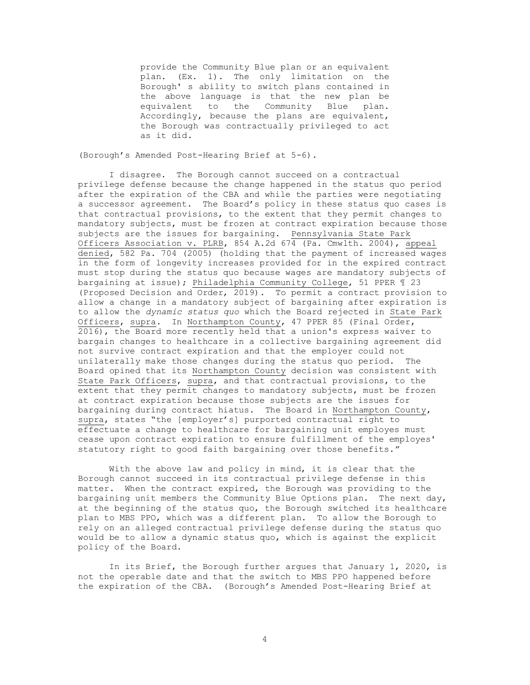provide the Community Blue plan or an equivalent plan. (Ex. 1). The only limitation on the Borough' s ability to switch plans contained in the above language is that the new plan be equivalent to the Community Blue plan. Accordingly, because the plans are equivalent, the Borough was contractually privileged to act as it did.

(Borough's Amended Post-Hearing Brief at 5-6).

I disagree. The Borough cannot succeed on a contractual privilege defense because the change happened in the status quo period after the expiration of the CBA and while the parties were negotiating a successor agreement. The Board's policy in these status quo cases is that contractual provisions, to the extent that they permit changes to mandatory subjects, must be frozen at contract expiration because those subjects are the issues for bargaining. Pennsylvania State Park Officers Association v. PLRB, 854 A.2d 674 (Pa. Cmwlth. 2004), appeal denied, 582 Pa. 704 (2005) (holding that the payment of increased wages in the form of longevity increases provided for in the expired contract must stop during the status quo because wages are mandatory subjects of bargaining at issue); Philadelphia Community College, 51 PPER ¶ 23 (Proposed Decision and Order, 2019). To permit a contract provision to allow a change in a mandatory subject of bargaining after expiration is to allow the *dynamic status quo* which the Board rejected in State Park Officers, supra. In Northampton County, 47 PPER 85 (Final Order, 2016), the Board more recently held that a union's express waiver to bargain changes to healthcare in a collective bargaining agreement did not survive contract expiration and that the employer could not unilaterally make those changes during the status quo period. The Board opined that its Northampton County decision was consistent with State Park Officers, supra, and that contractual provisions, to the extent that they permit changes to mandatory subjects, must be frozen at contract expiration because those subjects are the issues for bargaining during contract hiatus. The Board in Northampton County, supra, states "the [employer's] purported contractual right to effectuate a change to healthcare for bargaining unit employes must cease upon contract expiration to ensure fulfillment of the employes' statutory right to good faith bargaining over those benefits."

With the above law and policy in mind, it is clear that the Borough cannot succeed in its contractual privilege defense in this matter. When the contract expired, the Borough was providing to the bargaining unit members the Community Blue Options plan. The next day, at the beginning of the status quo, the Borough switched its healthcare plan to MBS PPO, which was a different plan. To allow the Borough to rely on an alleged contractual privilege defense during the status quo would be to allow a dynamic status quo, which is against the explicit policy of the Board.

In its Brief, the Borough further argues that January 1, 2020, is not the operable date and that the switch to MBS PPO happened before the expiration of the CBA. (Borough's Amended Post-Hearing Brief at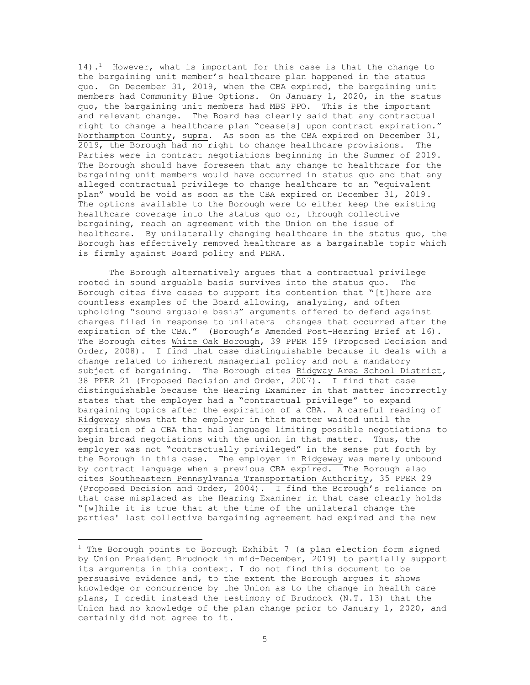14).<sup>1</sup> However, what is important for this case is that the change to the bargaining unit member's healthcare plan happened in the status quo. On December 31, 2019, when the CBA expired, the bargaining unit members had Community Blue Options. On January 1, 2020, in the status quo, the bargaining unit members had MBS PPO. This is the important and relevant change. The Board has clearly said that any contractual right to change a healthcare plan "cease[s] upon contract expiration." Northampton County, supra. As soon as the CBA expired on December 31, 2019, the Borough had no right to change healthcare provisions. The Parties were in contract negotiations beginning in the Summer of 2019. The Borough should have foreseen that any change to healthcare for the bargaining unit members would have occurred in status quo and that any alleged contractual privilege to change healthcare to an "equivalent plan" would be void as soon as the CBA expired on December 31, 2019. The options available to the Borough were to either keep the existing healthcare coverage into the status quo or, through collective bargaining, reach an agreement with the Union on the issue of healthcare. By unilaterally changing healthcare in the status quo, the Borough has effectively removed healthcare as a bargainable topic which is firmly against Board policy and PERA.

The Borough alternatively argues that a contractual privilege rooted in sound arguable basis survives into the status quo. The Borough cites five cases to support its contention that "[t]here are countless examples of the Board allowing, analyzing, and often upholding "sound arguable basis" arguments offered to defend against charges filed in response to unilateral changes that occurred after the expiration of the CBA." (Borough's Amended Post-Hearing Brief at 16). The Borough cites White Oak Borough, 39 PPER 159 (Proposed Decision and Order, 2008). I find that case distinguishable because it deals with a change related to inherent managerial policy and not a mandatory subject of bargaining. The Borough cites Ridgway Area School District, 38 PPER 21 (Proposed Decision and Order, 2007). I find that case distinguishable because the Hearing Examiner in that matter incorrectly states that the employer had a "contractual privilege" to expand bargaining topics after the expiration of a CBA. A careful reading of Ridgeway shows that the employer in that matter waited until the expiration of a CBA that had language limiting possible negotiations to begin broad negotiations with the union in that matter. Thus, the employer was not "contractually privileged" in the sense put forth by the Borough in this case. The employer in Ridgeway was merely unbound by contract language when a previous CBA expired. The Borough also cites Southeastern Pennsylvania Transportation Authority, 35 PPER 29 (Proposed Decision and Order, 2004). I find the Borough's reliance on that case misplaced as the Hearing Examiner in that case clearly holds "[w]hile it is true that at the time of the unilateral change the parties' last collective bargaining agreement had expired and the new

 $1$  The Borough points to Borough Exhibit 7 (a plan election form signed by Union President Brudnock in mid-December, 2019) to partially support its arguments in this context. I do not find this document to be persuasive evidence and, to the extent the Borough argues it shows knowledge or concurrence by the Union as to the change in health care plans, I credit instead the testimony of Brudnock (N.T. 13) that the Union had no knowledge of the plan change prior to January 1, 2020, and certainly did not agree to it.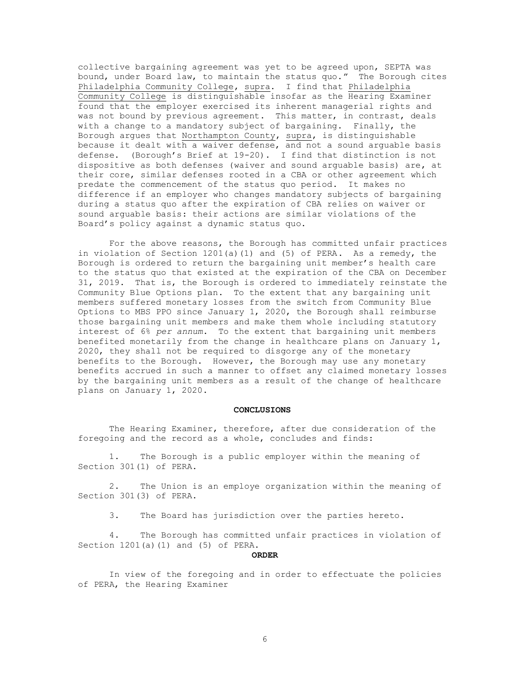collective bargaining agreement was yet to be agreed upon, SEPTA was bound, under Board law, to maintain the status quo." The Borough cites Philadelphia Community College, supra. I find that Philadelphia Community College is distinguishable insofar as the Hearing Examiner found that the employer exercised its inherent managerial rights and was not bound by previous agreement. This matter, in contrast, deals with a change to a mandatory subject of bargaining. Finally, the Borough argues that Northampton County, supra, is distinguishable because it dealt with a waiver defense, and not a sound arguable basis defense. (Borough's Brief at 19-20). I find that distinction is not dispositive as both defenses (waiver and sound arguable basis) are, at their core, similar defenses rooted in a CBA or other agreement which predate the commencement of the status quo period. It makes no difference if an employer who changes mandatory subjects of bargaining during a status quo after the expiration of CBA relies on waiver or sound arguable basis: their actions are similar violations of the Board's policy against a dynamic status quo.

For the above reasons, the Borough has committed unfair practices in violation of Section 1201(a)(1) and (5) of PERA. As a remedy, the Borough is ordered to return the bargaining unit member's health care to the status quo that existed at the expiration of the CBA on December 31, 2019. That is, the Borough is ordered to immediately reinstate the Community Blue Options plan. To the extent that any bargaining unit members suffered monetary losses from the switch from Community Blue Options to MBS PPO since January 1, 2020, the Borough shall reimburse those bargaining unit members and make them whole including statutory interest of 6% *per annum*. To the extent that bargaining unit members benefited monetarily from the change in healthcare plans on January 1, 2020, they shall not be required to disgorge any of the monetary benefits to the Borough. However, the Borough may use any monetary benefits accrued in such a manner to offset any claimed monetary losses by the bargaining unit members as a result of the change of healthcare plans on January 1, 2020.

## **CONCLUSIONS**

The Hearing Examiner, therefore, after due consideration of the foregoing and the record as a whole, concludes and finds:

1. The Borough is a public employer within the meaning of Section 301(1) of PERA.

2. The Union is an employe organization within the meaning of Section 301(3) of PERA.

3. The Board has jurisdiction over the parties hereto.

4. The Borough has committed unfair practices in violation of Section 1201(a)(1) and (5) of PERA.

### **ORDER**

In view of the foregoing and in order to effectuate the policies of PERA, the Hearing Examiner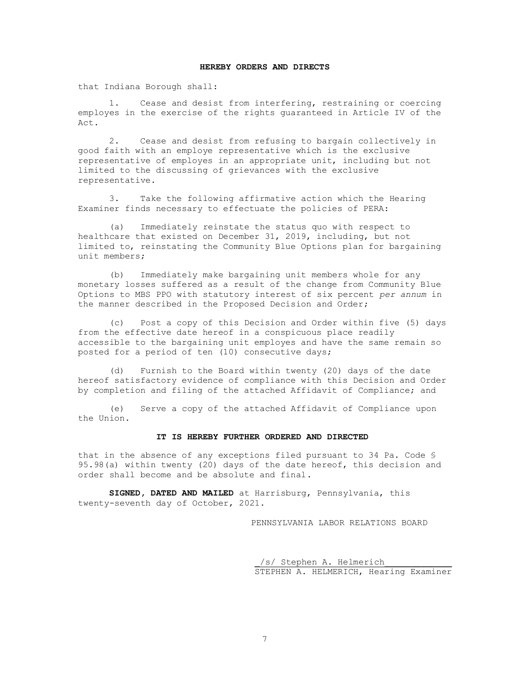## **HEREBY ORDERS AND DIRECTS**

that Indiana Borough shall:

1. Cease and desist from interfering, restraining or coercing employes in the exercise of the rights guaranteed in Article IV of the Act.

2. Cease and desist from refusing to bargain collectively in good faith with an employe representative which is the exclusive representative of employes in an appropriate unit, including but not limited to the discussing of grievances with the exclusive representative.

3. Take the following affirmative action which the Hearing Examiner finds necessary to effectuate the policies of PERA:

(a) Immediately reinstate the status quo with respect to healthcare that existed on December 31, 2019, including, but not limited to, reinstating the Community Blue Options plan for bargaining unit members;

(b) Immediately make bargaining unit members whole for any monetary losses suffered as a result of the change from Community Blue Options to MBS PPO with statutory interest of six percent *per annum* in the manner described in the Proposed Decision and Order;

(c) Post a copy of this Decision and Order within five (5) days from the effective date hereof in a conspicuous place readily accessible to the bargaining unit employes and have the same remain so posted for a period of ten (10) consecutive days;

(d) Furnish to the Board within twenty (20) days of the date hereof satisfactory evidence of compliance with this Decision and Order by completion and filing of the attached Affidavit of Compliance; and

(e) Serve a copy of the attached Affidavit of Compliance upon the Union.

## **IT IS HEREBY FURTHER ORDERED AND DIRECTED**

that in the absence of any exceptions filed pursuant to 34 Pa. Code § 95.98(a) within twenty (20) days of the date hereof, this decision and order shall become and be absolute and final.

**SIGNED, DATED AND MAILED** at Harrisburg, Pennsylvania, this twenty-seventh day of October, 2021.

PENNSYLVANIA LABOR RELATIONS BOARD

/s/ Stephen A. Helmerich STEPHEN A. HELMERICH, Hearing Examiner